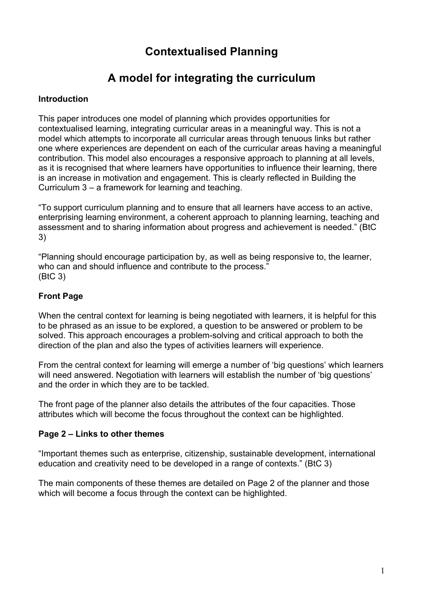# **Contextualised Planning**

# **A model for integrating the curriculum**

### **Introduction**

This paper introduces one model of planning which provides opportunities for contextualised learning, integrating curricular areas in a meaningful way. This is not a model which attempts to incorporate all curricular areas through tenuous links but rather one where experiences are dependent on each of the curricular areas having a meaningful contribution. This model also encourages a responsive approach to planning at all levels, as it is recognised that where learners have opportunities to influence their learning, there is an increase in motivation and engagement. This is clearly reflected in Building the Curriculum 3 – a framework for learning and teaching.

"To support curriculum planning and to ensure that all learners have access to an active, enterprising learning environment, a coherent approach to planning learning, teaching and assessment and to sharing information about progress and achievement is needed." (BtC 3)

"Planning should encourage participation by, as well as being responsive to, the learner, who can and should influence and contribute to the process." (BtC 3)

## **Front Page**

When the central context for learning is being negotiated with learners, it is helpful for this to be phrased as an issue to be explored, a question to be answered or problem to be solved. This approach encourages a problem-solving and critical approach to both the direction of the plan and also the types of activities learners will experience.

From the central context for learning will emerge a number of 'big questions' which learners will need answered. Negotiation with learners will establish the number of 'big questions' and the order in which they are to be tackled.

The front page of the planner also details the attributes of the four capacities. Those attributes which will become the focus throughout the context can be highlighted.

#### **Page 2 – Links to other themes**

"Important themes such as enterprise, citizenship, sustainable development, international education and creativity need to be developed in a range of contexts." (BtC 3)

The main components of these themes are detailed on Page 2 of the planner and those which will become a focus through the context can be highlighted.